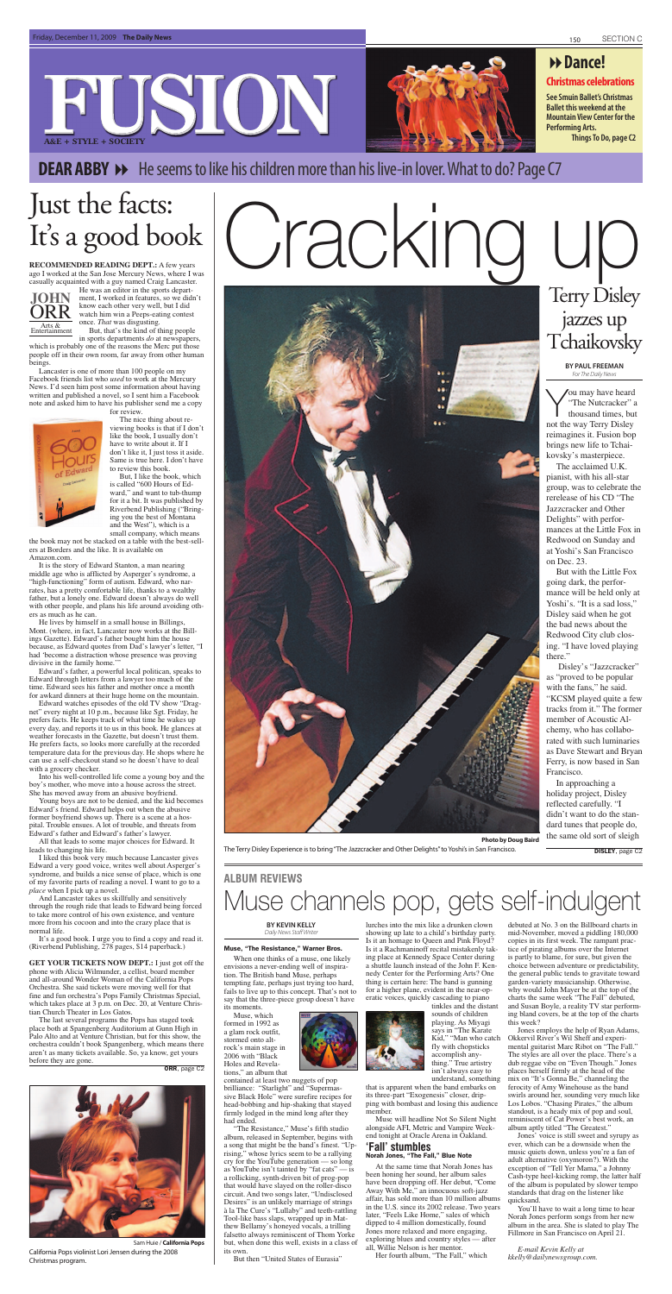#### **Christmas celebrations**

### **FUSION A&E + STYLE + SOCIETY**



**See Smuin Ballet's Christmas Ballet this weekend at the Mountain View Center for the Performing Arts. Things To Do, page C2**

**DEAR ABBY →** He seems to like his children more than his live-in lover. What to do? Page C7

### **Dance!**

**RECOMMENDED READING DEPT.:** A few years ago I worked at the San Jose Mercury News, where I was casually acquainted with a guy named Craig Lancaster.

**JOHN** ORR<br>Entertainment He was an editor in the sports department, I worked in features, so we didn't know each other very well, but I did watch him win a Peeps-eating contest once. *That* was disgusting. But, that's the kind of thing people

in sports departments *do* at newspapers, which is probably one of the reasons the Merc put those people off in their own room, far away from other human

beings. Lancaster is one of more than 100 people on my Facebook friends list who *used* to work at the Mercury News. I'd seen him post some information about having written and published a novel, so I sent him a Facebook note and asked him to have his publisher send me a copy



for review.

The nice thing about reviewing books is that if I don't like the book, I usually don't have to write about it. If I don't like it, I just toss it aside. Same is true here. I don't have to review this book.

But, I like the book, which is called "600 Hours of Edward," and want to tub-thump for it a bit. It was published by Riverbend Publishing ("Bringing you the best of Montana and the West"), which is a small company, which means

the book may not be stacked on a table with the best-sellers at Borders and the like. It is available on Amazon.com.

It is the story of Edward Stanton, a man nearing middle age who is afflicted by Asperger's syndrome, a "high-functioning" form of autism. Edward, who narrates, has a pretty comfortable life, thanks to a wealthy father, but a lonely one. Edward doesn't always do well with other people, and plans his life around avoiding others as much as he can.

He lives by himself in a small house in Billings, Mont. (where, in fact, Lancaster now works at the Billings Gazette). Edward's father bought him the house because, as Edward quotes from Dad's lawyer's letter, "I had 'become a distraction whose presence was proving divisive in the family home.'"

Edward's father, a powerful local politican, speaks to Edward through letters from a lawyer too much of the time. Edward sees his father and mother once a month for awkard dinners at their huge home on the mountain.

Edward watches episodes of the old TV show "Dragnet" every night at 10 p.m., because like Sgt. Friday, he prefers facts. He keeps track of what time he wakes up every day, and reports it to us in this book. He glances at weather forecasts in the Gazette, but doesn't trust them. He prefers facts, so looks more carefully at the recorded temperature data for the previous day. He shops where he can use a self-checkout stand so he doesn't have to deal with a grocery checker. Into his well-controlled life come a young boy and the boy's mother, who move into a house across the street. She has moved away from an abusive boyfriend. Young boys are not to be denied, and the kid becomes Edward's friend. Edward helps out when the abusive former boyfriend shows up. There is a scene at a hospital. Trouble ensues. A lot of trouble, and threats from Edward's father and Edward's father's lawyer.

# Cracking

All that leads to some major choices for Edward. It leads to changing his life.

I liked this book very much because Lancaster gives Edward a very good voice, writes well about Asperger's syndrome, and builds a nice sense of place, which is one of my favorite parts of reading a novel. I want to go to a *place* when I pick up a novel.

And Lancaster takes us skillfully and sensitively through the rough ride that leads to Edward being forced to take more control of his own existence, and venture more from his cocoon and into the crazy place that is normal life.

It's a good book. I urge you to find a copy and read it. (Riverbend Publishing, 278 pages, \$14 paperback.)

**GET YOUR TICKETS NOW DEPT.:** I just got off the phone with Alicia Wilmunder, a cellist, board member and all-around Wonder Woman of the California Pops Orchestra. She said tickets were moving well for that fine and fun orchestra's Pops Family Christmas Special, which takes place at 3 p.m. on Dec. 20, at Venture Christian Church Theater in Los Gatos.

The last several programs the Pops has staged took place both at Spangenberg Auditorium at Gunn High in Palo Alto and at Venture Christian, but for this show, the orchestra couldn't book Spangenberg, which means there aren't as many tickets available. So, ya know, get yours before they are gone.

ORR, page C2

### Just the facts: It's a good book



Sam Huie / **California Pops** California Pops violinist Lori Jensen during the 2008 Christmas program.

**BY KEVIN KELLY** Daily News Staff Writer

#### Muse, "The Resistance," Warner Bros.

When one thinks of a muse, one likely envisions a never-ending well of inspiration. The British band Muse, perhaps tempting fate, perhaps just trying too hard, fails to live up to this concept. That's not to say that the three-piece group doesn't have its moments.

Muse, which formed in 1992 as a glam rock outfit, stormed onto altrock's main stage in 2006 with "Black Holes and Revelations," an album that

contained at least two nuggets of pop brilliance: "Starlight" and "Supermassive Black Hole" were surefire recipes for head-bobbing and hip-shaking that stayed firmly lodged in the mind long after they had ended.

"The Resistance," Muse's fifth studio album, released in September, begins with a song that might be the band's finest. "Uprising," whose lyrics seem to be a rallying cry for the YouTube generation — so long as YouTube isn't tainted by "fat cats" — is a rollicking, synth-driven bit of prog-pop that would have slayed on the roller-disco circuit. And two songs later, "Undisclosed Desires" is an unlikely marriage of strings à la The Cure's "Lullaby" and teeth-rattling Tool-like bass slaps, wrapped up in Matthew Bellamy's honeyed vocals, a trilling falsetto always reminiscent of Thom Yorke but, when done this well, exists in a class of its own.

But then "United States of Eurasia"

lurches into the mix like a drunken clown showing up late to a child's birthday party. Is it an homage to Queen and Pink Floyd? Is it a Rachmaninoff recital mistakenly taking place at Kennedy Space Center during a shuttle launch instead of the John F. Kennedy Center for the Performing Arts? One thing is certain here: The band is gunning for a higher plane, evident in the near-operatic voices, quickly cascading to piano



tinkles and the distant sounds of children playing. As Miyagi says in "The Karate Kid," "Man who catch fly with chopsticks accomplish anything." True artistry isn't always easy to understand, something

that is apparent when the band embarks on its three-part "Exogenesis" closer, dripping with bombast and losing this audience member.

Muse will headline Not So Silent Night alongside AFI, Metric and Vampire Weekend tonight at Oracle Arena in Oakland.

#### **'Fall' stumbles** Norah Jones, "The Fall," Blue Note

At the same time that Norah Jones has been honing her sound, her album sales have been dropping off. Her debut, "Come Away With Me," an innocuous soft-jazz affair, has sold more than 10 million albums in the U.S. since its 2002 release. Two years later, "Feels Like Home," sales of which dipped to 4 million domestically, found Jones more relaxed and more engaging, exploring blues and country styles — after all, Willie Nelson is her mentor.

Her fourth album, "The Fall," which

debuted at No. 3 on the Billboard charts in mid-November, moved a piddling 180,000 copies in its first week. The rampant practice of pirating albums over the Internet is partly to blame, for sure, but given the choice between adventure or predictability, the general public tends to gravitate toward garden-variety musicianship. Otherwise, why would John Mayer be at the top of the charts the same week "The Fall" debuted, and Susan Boyle, a reality TV star performing bland covers, be at the top of the charts this week?

Jones employs the help of Ryan Adams, Okkervil River's Wil Sheff and experimental guitarist Marc Ribot on "The Fall." The styles are all over the place. There's a dub reggae vibe on "Even Though." Jones places herself firmly at the head of the mix on "It's Gonna Be," channeling the ferocity of Amy Winehouse as the band swirls around her, sounding very much like Los Lobos. "Chasing Pirates," the album standout, is a heady mix of pop and soul, reminiscent of Cat Power's best work, an album aptly titled "The Greatest."

Jones' voice is still sweet and syrupy as ever, which can be a downside when the music quiets down, unless you're a fan of adult alternative (oxymoron?). With the exception of "Tell Yer Mama," a Johnny Cash-type heel-kicking romp, the latter half of the album is populated by slower tempo standards that drag on the listener like quicksand.

You'll have to wait a long time to hear Norah Jones perform songs from her new album in the area. She is slated to play The Fillmore in San Francisco on April 21.

*E-mail Kevin Kelly at kkelly@dailynewsgroup.com.*



### Muse channels pop, gets self-indulgent **ALBUM REVIEWS**

**BY PAUL FREEMAN**  For The Daily News

You may have heard "The Nutcracker" a thousand times, but not the way Terry Disley reimagines it. Fusion bop brings new life to Tchaikovsky's masterpiece.

The acclaimed U.K. pianist, with his all-star group, was to celebrate the rerelease of his CD "The Jazzcracker and Other Delights" with performances at the Little Fox in Redwood on Sunday and at Yoshi's San Francisco on Dec. 23.

But with the Little Fox going dark, the performance will be held only at Yoshi's. "It is a sad loss," Disley said when he got the bad news about the Redwood City club closing. "I have loved playing there."

 Disley's "Jazzcracker" as "proved to be popular with the fans," he said. "KCSM played quite a few tracks from it." The former member of Acoustic Alchemy, who has collabo-

rated with such luminaries as Dave Stewart and Bryan



Francisco.

In approaching a holiday project, Disley reflected carefully. "I didn't want to do the standard tunes that people do, the same old sort of sleigh

### Terry Disley jazzes up Tchaikovsky

**Photo by Doug Baird**

The Terry Disley Experience is to bring "The Jazzcracker and Other Delights" to Yoshi's in San Francisco.